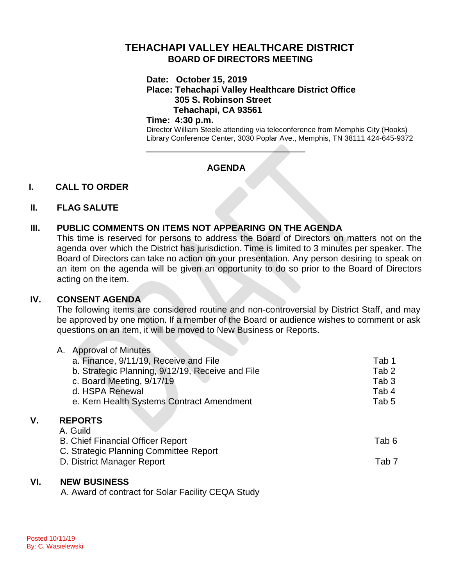# **TEHACHAPI VALLEY HEALTHCARE DISTRICT BOARD OF DIRECTORS MEETING**

### **Date: October 15, 2019**

**Place: Tehachapi Valley Healthcare District Office 305 S. Robinson Street Tehachapi, CA 93561**

### **Time: 4:30 p.m.**

Director William Steele attending via teleconference from Memphis City (Hooks) Library Conference Center, 3030 Poplar Ave., Memphis, TN 38111 424-645-9372

# **AGENDA**

# **I. CALL TO ORDER**

# **II. FLAG SALUTE**

# **III. PUBLIC COMMENTS ON ITEMS NOT APPEARING ON THE AGENDA**

This time is reserved for persons to address the Board of Directors on matters not on the agenda over which the District has jurisdiction. Time is limited to 3 minutes per speaker. The Board of Directors can take no action on your presentation. Any person desiring to speak on an item on the agenda will be given an opportunity to do so prior to the Board of Directors acting on the item.

# **IV. CONSENT AGENDA**

The following items are considered routine and non-controversial by District Staff, and may be approved by one motion. If a member of the Board or audience wishes to comment or ask questions on an item, it will be moved to New Business or Reports.

|    | <b>Approval of Minutes</b><br>Α.                 |                  |
|----|--------------------------------------------------|------------------|
|    | a. Finance, 9/11/19, Receive and File            | Tab 1            |
|    | b. Strategic Planning, 9/12/19, Receive and File | Tab <sub>2</sub> |
|    | c. Board Meeting, 9/17/19                        | Tab <sub>3</sub> |
|    | d. HSPA Renewal                                  | Tab 4            |
|    | e. Kern Health Systems Contract Amendment        | Tab 5            |
|    |                                                  |                  |
| ۷. | <b>REPORTS</b>                                   |                  |
|    | A. Guild                                         |                  |
|    | <b>B. Chief Financial Officer Report</b>         | Tab 6            |
|    | C. Strategic Planning Committee Report           |                  |
|    | D. District Manager Report                       | Tab 7            |
|    |                                                  |                  |

### **VI. NEW BUSINESS**

A. Award of contract for Solar Facility CEQA Study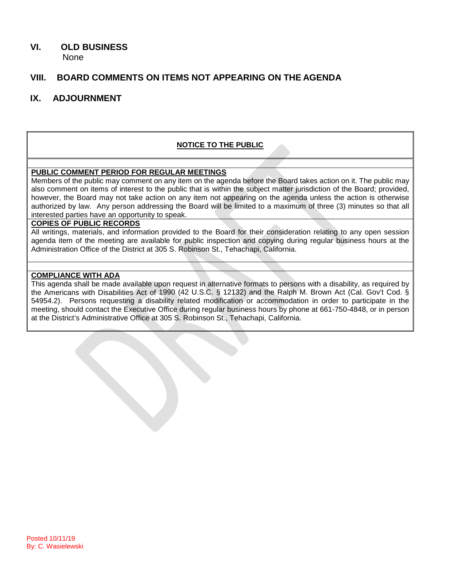# **VI. OLD BUSINESS**

None

# **VIII. BOARD COMMENTS ON ITEMS NOT APPEARING ON THE AGENDA**

# **IX. ADJOURNMENT**

### **NOTICE TO THE PUBLIC**

### **PUBLIC COMMENT PERIOD FOR REGULAR MEETINGS**

Members of the public may comment on any item on the agenda before the Board takes action on it. The public may also comment on items of interest to the public that is within the subject matter jurisdiction of the Board; provided, however, the Board may not take action on any item not appearing on the agenda unless the action is otherwise authorized by law. Any person addressing the Board will be limited to a maximum of three (3) minutes so that all interested parties have an opportunity to speak.

#### **COPIES OF PUBLIC RECORDS**

All writings, materials, and information provided to the Board for their consideration relating to any open session agenda item of the meeting are available for public inspection and copying during regular business hours at the Administration Office of the District at 305 S. Robinson St., Tehachapi, California.

#### **COMPLIANCE WITH ADA**

This agenda shall be made available upon request in alternative formats to persons with a disability, as required by the Americans with Disabilities Act of 1990 (42 U.S.C. § 12132) and the Ralph M. Brown Act (Cal. Gov't Cod. § 54954.2). Persons requesting a disability related modification or accommodation in order to participate in the meeting, should contact the Executive Office during regular business hours by phone at 661-750-4848, or in person at the District's Administrative Office at 305 S. Robinson St., Tehachapi, California.